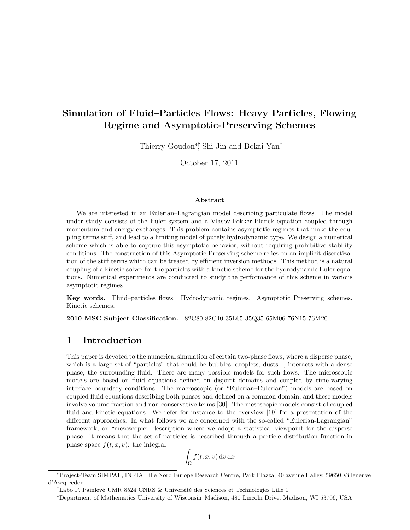# Simulation of Fluid–Particles Flows: Heavy Particles, Flowing Regime and Asymptotic-Preserving Schemes

Thierry Goudon<sup>∗</sup>, Shi Jin and Bokai Yan<sup>‡</sup>

October 17, 2011

#### Abstract

We are interested in an Eulerian–Lagrangian model describing particulate flows. The model under study consists of the Euler system and a Vlasov-Fokker-Planck equation coupled through momentum and energy exchanges. This problem contains asymptotic regimes that make the coupling terms stiff, and lead to a limiting model of purely hydrodynamic type. We design a numerical scheme which is able to capture this asymptotic behavior, without requiring prohibitive stability conditions. The construction of this Asymptotic Preserving scheme relies on an implicit discretization of the stiff terms which can be treated by efficient inversion methods. This method is a natural coupling of a kinetic solver for the particles with a kinetic scheme for the hydrodynamic Euler equations. Numerical experiments are conducted to study the performance of this scheme in various asymptotic regimes.

Key words. Fluid–particles flows. Hydrodynamic regimes. Asymptotic Preserving schemes. Kinetic schemes.

2010 MSC Subject Classification. 82C80 82C40 35L65 35Q35 65M06 76N15 76M20

## 1 Introduction

This paper is devoted to the numerical simulation of certain two-phase flows, where a disperse phase, which is a large set of "particles" that could be bubbles, droplets, dusts..., interacts with a dense phase, the surrounding fluid. There are many possible models for such flows. The microscopic models are based on fluid equations defined on disjoint domains and coupled by time-varying interface boundary conditions. The macroscopic (or "Eulerian–Eulerian") models are based on coupled fluid equations describing both phases and defined on a common domain, and these models involve volume fraction and non-conservative terms [30]. The mesoscopic models consist of coupled fluid and kinetic equations. We refer for instance to the overview [19] for a presentation of the different approaches. In what follows we are concerned with the so-called "Eulerian-Lagrangian" framework, or "mesoscopic" description where we adopt a statistical viewpoint for the disperse phase. It means that the set of particles is described through a particle distribution function in phase space  $f(t, x, v)$ : the integral

$$
\int_{\Omega} f(t, x, v) \, \mathrm{d}v \, \mathrm{d}x
$$

<sup>∗</sup>Project-Team SIMPAF, INRIA Lille Nord Europe Research Centre, Park Plazza, 40 avenue Halley, 59650 Villeneuve d'Ascq cedex

<sup>&</sup>lt;sup>†</sup>Labo P. Painlevé UMR 8524 CNRS & Université des Sciences et Technologies Lille 1

<sup>‡</sup>Department of Mathematics University of Wisconsin–Madison, 480 Lincoln Drive, Madison, WI 53706, USA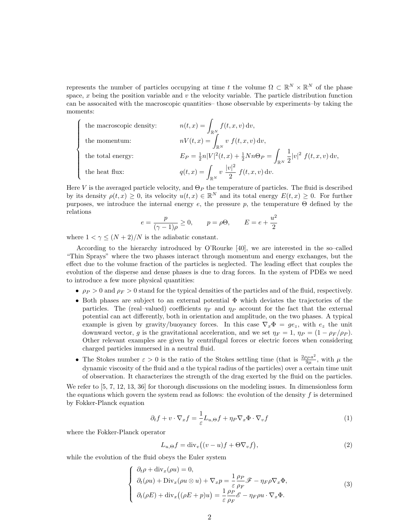represents the number of particles occupying at time t the volume  $\Omega \subset \mathbb{R}^N \times \mathbb{R}^N$  of the phase space,  $x$  being the position variable and  $v$  the velocity variable. The particle distribution function can be assocaited with the macroscopic quantities– those observable by experiments–by taking the moments:

\n The macroscopic density: \n 
$$
n(t, x) = \int_{\mathbb{R}^N} f(t, x, v) \, \mathrm{d}v,
$$
\n the momentum: \n 
$$
nV(t, x) = \int_{\mathbb{R}^N} v f(t, x, v) \, \mathrm{d}v,
$$
\n the total energy: \n 
$$
E_P = \frac{1}{2} n |V|^2(t, x) + \frac{1}{2} N n \Theta_P = \int_{\mathbb{R}^N} \frac{1}{2} |v|^2 f(t, x, v) \, \mathrm{d}v,
$$
\n the heat flux: \n 
$$
q(t, x) = \int_{\mathbb{R}^N} v \, \frac{|v|^2}{2} f(t, x, v) \, \mathrm{d}v.
$$
\n

Here V is the averaged particle velocity, and  $\Theta_P$  the temperature of particles. The fluid is described by its density  $\rho(t,x) \geq 0$ , its velocity  $u(t,x) \in \mathbb{R}^N$  and its total energy  $E(t,x) \geq 0$ . For further purposes, we introduce the internal energy  $e$ , the pressure  $p$ , the temperature  $\Theta$  defined by the relations

$$
e = \frac{p}{(\gamma - 1)\rho} \ge 0, \qquad p = \rho \Theta, \qquad E = e + \frac{u^2}{2}
$$

where  $1 < \gamma \leq (N+2)/N$  is the adiabatic constant.

According to the hierarchy introduced by O'Rourke [40], we are interested in the so–called "Thin Sprays" where the two phases interact through momentum and energy exchanges, but the effect due to the volume fraction of the particles is neglected. The leading effect that couples the evolution of the disperse and dense phases is due to drag forces. In the system of PDEs we need to introduce a few more physical quantities:

- $\rho_P > 0$  and  $\rho_F > 0$  stand for the typical densities of the particles and of the fluid, respectively.
- Both phases are subject to an external potential  $\Phi$  which deviates the trajectories of the particles. The (real–valued) coefficients  $\eta_F$  and  $\eta_P$  account for the fact that the external potential can act differently, both in orientation and amplitude, on the two phases. A typical example is given by gravity/buoyancy forces. In this case  $\nabla_x \Phi = ge_z$ , with  $e_z$  the unit downward vector, g is the gravitational acceleration, and we set  $\eta_F = 1$ ,  $\eta_P = (1 - \rho_F/\rho_P)$ . Other relevant examples are given by centrifugal forces or electric forces when considering charged particles immersed in a neutral fluid.
- The Stokes number  $\varepsilon > 0$  is the ratio of the Stokes settling time (that is  $\frac{2\rho_{P}a^{2}}{9\mu}$  $\frac{\partial P^a}{\partial \mu}$ , with  $\mu$  the dynamic viscosity of the fluid and  $a$  the typical radius of the particles) over a certain time unit of observation. It characterizes the strength of the drag exerted by the fluid on the particles.

We refer to  $[5, 7, 12, 13, 36]$  for thorough discussions on the modeling issues. In dimensionless form the equations which govern the system read as follows: the evolution of the density  $f$  is determined by Fokker-Planck equation

$$
\partial_t f + v \cdot \nabla_x f = \frac{1}{\varepsilon} L_{u,\Theta} f + \eta_P \nabla_x \Phi \cdot \nabla_v f \tag{1}
$$

where the Fokker-Planck operator

$$
L_{u,\Theta}f = \text{div}_v\big((v-u)f + \Theta \nabla_v f\big),\tag{2}
$$

while the evolution of the fluid obeys the Euler system

$$
\begin{cases}\n\partial_t \rho + \operatorname{div}_x(\rho u) = 0, \\
\partial_t(\rho u) + \operatorname{Div}_x(\rho u \otimes u) + \nabla_x p = \frac{1}{\varepsilon} \frac{\rho_P}{\rho_F} \mathscr{F} - \eta_F \rho \nabla_x \Phi, \\
\partial_t(\rho E) + \operatorname{div}_x((\rho E + p)u) = \frac{1}{\varepsilon} \frac{\rho_P}{\rho_F} \mathscr{E} - \eta_F \rho u \cdot \nabla_x \Phi.\n\end{cases}
$$
\n(3)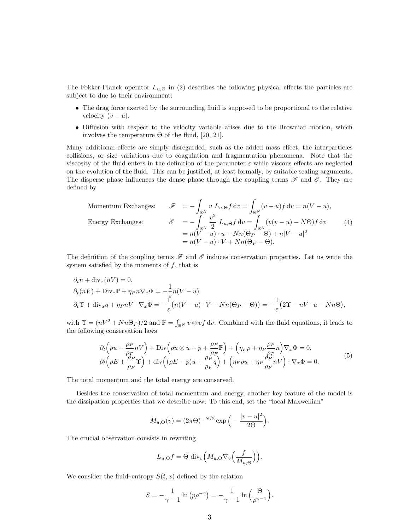The Fokker-Planck operator  $L_{u,\Theta}$  in (2) describes the following physical effects the particles are subject to due to their environment:

- The drag force exerted by the surrounding fluid is supposed to be proportional to the relative velocity  $(v - u)$ ,
- Diffusion with respect to the velocity variable arises due to the Brownian motion, which involves the temperature Θ of the fluid, [20, 21].

Many additional effects are simply disregarded, such as the added mass effect, the interparticles collisions, or size variations due to coagulation and fragmentation phenomena. Note that the viscosity of the fluid enters in the definition of the parameter  $\varepsilon$  while viscous effects are neglected on the evolution of the fluid. This can be justified, at least formally, by suitable scaling arguments. The disperse phase influences the dense phase through the coupling terms  $\mathscr F$  and  $\mathscr E$ . They are defined by

Momentum Exchanges:

\n
$$
\mathscr{F} = -\int_{\mathbb{R}^N} v \, L_{u,\Theta} f \, dv = \int_{\mathbb{R}^N} (v - u) f \, dv = n(V - u),
$$
\nEnergy Exchanges:

\n
$$
\mathscr{E} = -\int_{\mathbb{R}^N} \frac{v^2}{2} \, L_{u,\Theta} f \, dv = \int_{\mathbb{R}^N} (v(v - u) - N\Theta) f \, dv \qquad (4)
$$
\n
$$
= n(V - u) \cdot u + Nn(\Theta_P - \Theta) + n|V - u|^2
$$
\n
$$
= n(V - u) \cdot V + Nn(\Theta_P - \Theta).
$$

The definition of the coupling terms  $\mathscr F$  and  $\mathscr E$  induces conservation properties. Let us write the system satisfied by the moments of  $f$ , that is

$$
\partial_t n + \text{div}_x(nV) = 0,
$$
  
\n
$$
\partial_t(nV) + \text{Div}_x \mathbb{P} + \eta_P n \nabla_x \Phi = -\frac{1}{\varepsilon} n(V - u)
$$
  
\n
$$
\partial_t \Upsilon + \text{div}_x q + \eta_P nV \cdot \nabla_x \Phi = -\frac{1}{\varepsilon} (n(V - u) \cdot V + Nn(\Theta_P - \Theta)) = -\frac{1}{\varepsilon} (2\Upsilon - nV \cdot u - Nn\Theta),
$$

with  $\Upsilon = (nV^2 + Nn\Theta_P)/2$  and  $\mathbb{P} = \int_{\mathbb{R}^N} v \otimes v f dv$ . Combined with the fluid equations, it leads to the following conservation laws

$$
\partial_t \left( \rho u + \frac{\rho_P}{\rho_F} nV \right) + \text{Div} \left( \rho u \otimes u + p + \frac{\rho_P}{\rho_F} \mathbb{P} \right) + \left( \eta_F \rho + \eta_P \frac{\rho_P}{\rho_F} n \right) \nabla_x \Phi = 0, \n\partial_t \left( \rho E + \frac{\rho_P}{\rho_F} \Upsilon \right) + \text{div} \left( (\rho E + p) u + \frac{\rho_P}{\rho_F} q \right) + \left( \eta_F \rho u + \eta_P \frac{\rho_P}{\rho_F} nV \right) \cdot \nabla_x \Phi = 0.
$$
\n(5)

The total momentum and the total energy are conserved.

Besides the conservation of total momentum and energy, another key feature of the model is the dissipation properties that we describe now. To this end, set the "local Maxwellian"

$$
M_{u,\Theta}(v) = (2\pi\Theta)^{-N/2} \exp\left(-\frac{|v-u|^2}{2\Theta}\right).
$$

The crucial observation consists in rewriting

$$
L_{u,\Theta}f = \Theta \operatorname{div}_v \Big(M_{u,\Theta} \nabla_v \Big(\frac{f}{M_{u,\Theta}}\Big)\Big).
$$

We consider the fluid–entropy  $S(t, x)$  defined by the relation

$$
S = -\frac{1}{\gamma - 1} \ln (p \rho^{-\gamma}) = -\frac{1}{\gamma - 1} \ln \left( \frac{\Theta}{\rho^{\gamma - 1}} \right).
$$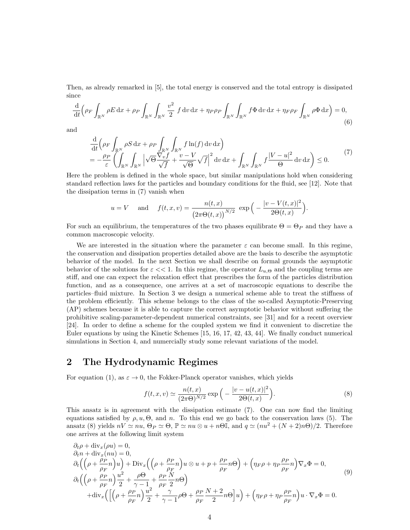Then, as already remarked in [5], the total energy is conserved and the total entropy is dissipated since

$$
\frac{\mathrm{d}}{\mathrm{d}t} \left( \rho_F \int_{\mathbb{R}^N} \rho E \, \mathrm{d}x + \rho_P \int_{\mathbb{R}^N} \int_{\mathbb{R}^N} \frac{v^2}{2} \, f \, \mathrm{d}v \, \mathrm{d}x + \eta_P \rho_P \int_{\mathbb{R}^N} \int_{\mathbb{R}^N} f \Phi \, \mathrm{d}v \, \mathrm{d}x + \eta_F \rho_F \int_{\mathbb{R}^N} \rho \Phi \, \mathrm{d}x \right) = 0,\tag{6}
$$

and

$$
\frac{\mathrm{d}}{\mathrm{d}t} \left( \rho_F \int_{\mathbb{R}^N} \rho S \, \mathrm{d}x + \rho_P \int_{\mathbb{R}^N} \int_{\mathbb{R}^N} f \ln(f) \, \mathrm{d}v \, \mathrm{d}x \right) \n= -\frac{\rho_P}{\varepsilon} \left( \int_{\mathbb{R}^N} \int_{\mathbb{R}^N} \sqrt{\Theta} \frac{\nabla_v f}{\sqrt{f}} + \frac{v - V}{\sqrt{\Theta}} \sqrt{f} \right|^2 \, \mathrm{d}v \, \mathrm{d}x + \int_{\mathbb{R}^N} \int_{\mathbb{R}^N} f \frac{|V - u|^2}{\Theta} \, \mathrm{d}v \, \mathrm{d}x \right) \leq 0.
$$
\n(7)

.

Here the problem is defined in the whole space, but similar manipulations hold when considering standard reflection laws for the particles and boundary conditions for the fluid, see [12]. Note that the dissipation terms in (7) vanish when

$$
u = V
$$
 and  $f(t, x, v) = \frac{n(t, x)}{(2\pi\Theta(t, x))^{N/2}} \exp\left(-\frac{|v - V(t, x)|^2}{2\Theta(t, x)}\right)$ 

For such an equilibrium, the temperatures of the two phases equilibrate  $\Theta = \Theta_P$  and they have a common macroscopic velocity.

We are interested in the situation where the parameter  $\varepsilon$  can become small. In this regime, the conservation and dissipation properties detailed above are the basis to describe the asymptotic behavior of the model. In the next Section we shall describe on formal grounds the asymptotic behavior of the solutions for  $\varepsilon << 1$ . In this regime, the operator  $L_{u,\Theta}$  and the coupling terms are stiff, and one can expect the relaxation effect that prescribes the form of the particles distribution function, and as a consequence, one arrives at a set of macroscopic equations to describe the particles–fluid mixture. In Section 3 we design a numerical scheme able to treat the stiffness of the problem efficiently. This scheme belongs to the class of the so-called Asymptotic-Preserving (AP) schemes because it is able to capture the correct asymptotic behavior without suffering the prohibitive scaling-parameter-dependent numerical constraints, see [31] and for a recent overview [24]. In order to define a scheme for the coupled system we find it convenient to discretize the Euler equations by using the Kinetic Schemes [15, 16, 17, 42, 43, 44]. We finally conduct numerical simulations in Section 4, and numercially study some relevant variations of the model.

# 2 The Hydrodynamic Regimes

For equation (1), as  $\varepsilon \to 0$ , the Fokker-Planck operator vanishes, which yields

$$
f(t, x, v) \simeq \frac{n(t, x)}{(2\pi\Theta)^{N/2}} \exp\left(-\frac{|v - u(t, x)|^2}{2\Theta(t, x)}\right).
$$
 (8)

This ansatz is in agreement with the dissipation estimate (7). One can now find the limiting equations satisfied by  $\rho, u, \Theta$ , and n. To this end we go back to the conservation laws (5). The ansatz (8) yields  $nV \simeq nu$ ,  $\Theta_P \simeq \Theta$ ,  $\mathbb{P} \simeq nu \otimes u + n\Theta \mathbb{I}$ , and  $q \simeq (nu^2 + (N + 2)n\Theta)/2$ . Therefore one arrives at the following limit system

$$
\partial_t \rho + \text{div}_x(\rho u) = 0,
$$
\n
$$
\partial_t n + \text{div}_x(nu) = 0,
$$
\n
$$
\partial_t \left( \left( \rho + \frac{\rho_P}{\rho_F} n \right) u \right) + \text{Div}_x \left( \left( \rho + \frac{\rho_P}{\rho_F} n \right) u \otimes u + p + \frac{\rho_P}{\rho_F} n \Theta \right) + \left( \eta_F \rho + \eta_P \frac{\rho_P}{\rho_F} n \right) \nabla_x \Phi = 0,
$$
\n
$$
\partial_t \left( \left( \rho + \frac{\rho_P}{\rho_F} n \right) \frac{u^2}{2} + \frac{\rho \Theta}{\gamma - 1} + \frac{\rho_P}{\rho_F} \frac{N}{2} n \Theta \right)
$$
\n
$$
+ \text{div}_x \left( \left[ \left( \rho + \frac{\rho_P}{\rho_F} n \right) \frac{u^2}{2} + \frac{\gamma}{\gamma - 1} \rho \Theta + \frac{\rho_P}{\rho_F} \frac{N + 2}{2} n \Theta \right] u \right) + \left( \eta_F \rho + \eta_P \frac{\rho_P}{\rho_F} n \right) u \cdot \nabla_x \Phi = 0.
$$
\n(9)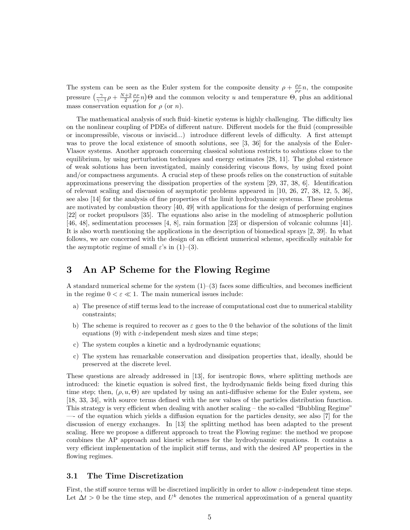The system can be seen as the Euler system for the composite density  $\rho + \frac{\rho_P}{\rho_F} n$ , the composite pressure  $\left(\frac{\gamma}{\gamma-1}\rho + \frac{N+2}{2}\frac{\rho_P}{\rho_F}n\right)\Theta$  and the common velocity u and temperature  $\Theta$ , plus an additional mass conservation equation for  $\rho$  (or n).

The mathematical analysis of such fluid–kinetic systems is highly challenging. The difficulty lies on the nonlinear coupling of PDEs of different nature. Different models for the fluid (compressible or incompressible, viscous or inviscid...) introduce different levels of difficulty. A first attempt was to prove the local existence of smooth solutions, see [3, 36] for the analysis of the Euler-Vlasov systems. Another approach concerning classical solutions restricts to solutions close to the equilibrium, by using perturbation techniques and energy estimates [28, 11]. The global existence of weak solutions has been investigated, mainly considering viscous flows, by using fixed point and/or compactness arguments. A crucial step of these proofs relies on the construction of suitable approximations preserving the dissipation properties of the system [29, 37, 38, 6]. Identification of relevant scaling and discussion of asymptotic problems appeared in [10, 26, 27, 38, 12, 5, 36], see also [14] for the analysis of fine properties of the limit hydrodynamic systems. These problems are motivated by combustion theory [40, 49] with applications for the design of performing engines [22] or rocket propulsors [35]. The equations also arise in the modeling of atmospheric pollution [46, 48], sedimentation processes [4, 8], rain formation [23] or dispersion of volcanic columns [41]. It is also worth mentioning the applications in the description of biomedical sprays [2, 39]. In what follows, we are concerned with the design of an efficient numerical scheme, specifically suitable for the asymptotic regime of small  $\varepsilon$ 's in (1)–(3).

## 3 An AP Scheme for the Flowing Regime

A standard numerical scheme for the system  $(1)-(3)$  faces some difficulties, and becomes inefficient in the regime  $0 < \varepsilon \ll 1$ . The main numerical issues include:

- a) The presence of stiff terms lead to the increase of computational cost due to numerical stability constraints;
- b) The scheme is required to recover as  $\varepsilon$  goes to the 0 the behavior of the solutions of the limit equations (9) with  $\varepsilon$ -independent mesh sizes and time steps;
- c) The system couples a kinetic and a hydrodynamic equations;
- c) The system has remarkable conservation and dissipation properties that, ideally, should be preserved at the discrete level.

These questions are already addressed in [13], for isentropic flows, where splitting methods are introduced: the kinetic equation is solved first, the hydrodynamic fields being fixed during this time step; then,  $(\rho, u, \Theta)$  are updated by using an anti-diffusive scheme for the Euler system, see [18, 33, 34], with source terms defined with the new values of the particles distribution function. This strategy is very efficient when dealing with another scaling – the so-called "Bubbling Regime" —- of the equation which yields a diffusion equation for the particles density, see also [7] for the discussion of energy exchanges. In [13] the splitting method has been adapted to the present scaling. Here we propose a different approach to treat the Flowing regime: the method we propose combines the AP approach and kinetic schemes for the hydrodynamic equations. It contains a very efficient implementation of the implicit stiff terms, and with the desired AP properties in the flowing regimes.

## 3.1 The Time Discretization

First, the stiff source terms will be discretized implicitly in order to allow  $\varepsilon$ -independent time steps. Let  $\Delta t > 0$  be the time step, and  $U^k$  denotes the numerical approximation of a general quantity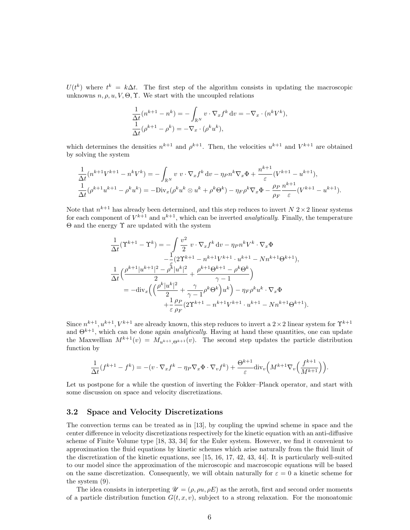$U(t^k)$  where  $t^k = k\Delta t$ . The first step of the algorithm consists in updating the macroscopic unknowns  $n, \rho, u, V, \Theta, \Upsilon$ . We start with the uncoupled relations

$$
\frac{1}{\Delta t}(n^{k+1} - n^k) = -\int_{\mathbb{R}^N} v \cdot \nabla_x f^k dv = -\nabla_x \cdot (n^k V^k),
$$
  

$$
\frac{1}{\Delta t}(\rho^{k+1} - \rho^k) = -\nabla_x \cdot (\rho^k u^k),
$$

which determines the densities  $n^{k+1}$  and  $\rho^{k+1}$ . Then, the velocities  $u^{k+1}$  and  $V^{k+1}$  are obtained by solving the system

$$
\frac{1}{\Delta t}(n^{k+1}V^{k+1} - n^kV^k) = -\int_{\mathbb{R}^N} v v \cdot \nabla_x f^k dv - \eta_P n^k \nabla_x \Phi + \frac{n^{k+1}}{\varepsilon}(V^{k+1} - u^{k+1}),
$$
  

$$
\frac{1}{\Delta t}(\rho^{k+1}u^{k+1} - \rho^k u^k) = -\text{Div}_x(\rho^k u^k \otimes u^k + \rho^k \Theta^k) - \eta_P \rho^k \nabla_x \Phi - \frac{\rho_P}{\rho_F} \frac{n^{k+1}}{\varepsilon}(V^{k+1} - u^{k+1}).
$$

Note that  $n^{k+1}$  has already been determined, and this step reduces to invert  $N$  2 × 2 linear systems for each component of  $V^{k+1}$  and  $u^{k+1}$ , which can be inverted *analytically*. Finally, the temperature  $\Theta$  and the energy  $\Upsilon$  are updated with the system

$$
\frac{1}{\Delta t}(\Upsilon^{k+1} - \Upsilon^{k}) = -\int \frac{v^{2}}{2} v \cdot \nabla_{x} f^{k} dv - \eta_{P} n^{k} V^{k} \cdot \nabla_{x} \Phi \n- \frac{1}{2} (2\Upsilon^{k+1} - n^{k+1} V^{k+1} \cdot u^{k+1} - N n^{k+1} \Theta^{k+1}), \n\frac{1}{\Delta t} \Big( \frac{\rho^{k+1} |u^{k+1}|^{2} - \rho^{\tilde{k}} |u^{k}|^{2}}{2} + \frac{\rho^{k+1} \Theta^{k+1} - \rho^{k} \Theta^{k}}{\gamma - 1} \Big) \n= -\text{div}_{x} \Big( \Big( \frac{\rho^{k} |u^{k}|^{2}}{2} + \frac{\gamma}{\gamma - 1} \rho^{k} \Theta^{k} \Big) u^{k} \Big) - \eta_{F} \rho^{k} u^{k} \cdot \nabla_{x} \Phi \n+ \frac{1}{\varepsilon} \frac{\rho_{P}}{\rho_{F}} (2\Upsilon^{k+1} - n^{k+1} V^{k+1} \cdot u^{k+1} - N n^{k+1} \Theta^{k+1}).
$$

Since  $n^{k+1}, u^{k+1}, V^{k+1}$  are already known, this step reduces to invert a  $2 \times 2$  linear system for  $\Upsilon^{k+1}$ and  $\Theta^{k+1}$ , which can be done again *analytically*. Having at hand these quantities, one can update the Maxwellian  $M^{k+1}(v) = M_{u^{k+1},\Theta^{k+1}}(v)$ . The second step updates the particle distribution function by

$$
\frac{1}{\Delta t}(f^{k+1} - f^k) = -(v \cdot \nabla_x f^k - \eta_P \nabla_x \Phi \cdot \nabla_v f^k) + \frac{\Theta^{k+1}}{\varepsilon} \text{div}_v \Big( M^{k+1} \nabla_v \Big( \frac{f^{k+1}}{M^{k+1}} \Big) \Big).
$$

Let us postpone for a while the question of inverting the Fokker–Planck operator, and start with some discussion on space and velocity discretizations.

## 3.2 Space and Velocity Discretizations

The convection terms can be treated as in [13], by coupling the upwind scheme in space and the center difference in velocity discretizations respectively for the kinetic equation with an anti-diffusive scheme of Finite Volume type [18, 33, 34] for the Euler system. However, we find it convenient to approximation the fluid equations by kinetic schemes which arise naturally from the fluid limit of the discretization of the kinetic equations, see [15, 16, 17, 42, 43, 44]. It is particularly well-suited to our model since the approximation of the microscopic and macroscopic equations will be based on the same discretization. Consequently, we will obtain naturally for  $\varepsilon = 0$  a kinetic scheme for the system (9).

The idea consists in interpreting  $\mathscr{U} = (\rho, \rho u, \rho E)$  as the zeroth, first and second order moments of a particle distribution function  $G(t, x, v)$ , subject to a strong relaxation. For the monoatomic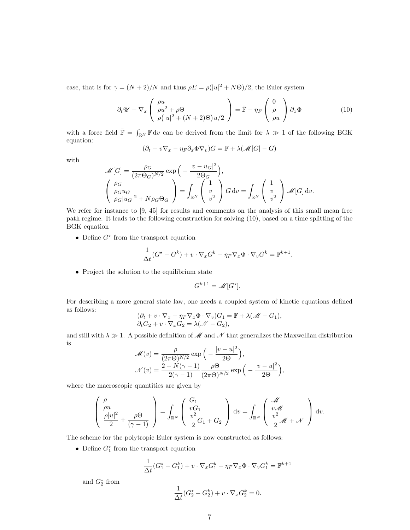case, that is for  $\gamma = (N+2)/N$  and thus  $\rho E = \rho(|u|^2 + N\Theta)/2$ , the Euler system

$$
\partial_t \mathcal{U} + \nabla_x \left( \begin{array}{c} \rho u \\ \rho u^2 + \rho \Theta \\ \rho (|u|^2 + (N+2)\Theta)u/2 \end{array} \right) = \bar{\mathbb{F}} - \eta_F \left( \begin{array}{c} 0 \\ \rho \\ \rho u \end{array} \right) \partial_x \Phi \tag{10}
$$

with a force field  $\bar{\mathbb{F}} = \int_{\mathbb{R}^N} \mathbb{F} \, \mathrm{d}v$  can be derived from the limit for  $\lambda \gg 1$  of the following BGK equation:

$$
(\partial_t + v\nabla_x - \eta_F \partial_x \Phi \nabla_v)G = \mathbb{F} + \lambda(\mathcal{M}[G] - G)
$$

with

$$
\mathcal{M}[G] = \frac{\rho_G}{(2\pi\Theta_G)^{N/2}} \exp\left(-\frac{|v - u_G|^2}{2\Theta_G}\right),
$$
  

$$
\begin{pmatrix} \rho_G \\ \rho_G u_G \\ \rho_G |u_G|^2 + N\rho_G \Theta_G \end{pmatrix} = \int_{\mathbb{R}^N} \begin{pmatrix} 1 \\ v \\ v^2 \end{pmatrix} G dv = \int_{\mathbb{R}^N} \begin{pmatrix} 1 \\ v \\ v^2 \end{pmatrix} \mathcal{M}[G] dv.
$$

We refer for instance to [9, 45] for results and comments on the analysis of this small mean free path regime. It leads to the following construction for solving (10), based on a time splitting of the BGK equation

• Define  $G^*$  from the transport equation

$$
\frac{1}{\Delta t}(G^{\star} - G^k) + v \cdot \nabla_x G^k - \eta_F \nabla_x \Phi \cdot \nabla_v G^k = \mathbb{F}^{k+1}.
$$

• Project the solution to the equilibrium state

$$
G^{k+1} = \mathcal{M}[G^*].
$$

For describing a more general state law, one needs a coupled system of kinetic equations defined as follows:

$$
(\partial_t + v \cdot \nabla_x - \eta_F \nabla_x \Phi \cdot \nabla_v) G_1 = \mathbb{F} + \lambda(\mathcal{M} - G_1),
$$
  

$$
\partial_t G_2 + v \cdot \nabla_x G_2 = \lambda(\mathcal{N} - G_2),
$$

and still with  $\lambda \gg 1$ . A possible definition of M and N that generalizes the Maxwellian distribution is

$$
\mathcal{M}(v) = \frac{\rho}{(2\pi\Theta)^{N/2}} \exp\left(-\frac{|v-u|^2}{2\Theta}\right),
$$

$$
\mathcal{N}(v) = \frac{2 - N(\gamma - 1)}{2(\gamma - 1)} \frac{\rho\Theta}{(2\pi\Theta)^{N/2}} \exp\left(-\frac{|v-u|^2}{2\Theta}\right),
$$

where the macroscopic quantities are given by

$$
\left(\begin{array}{c}\n\rho \\
\rho u \\
\rho |u|^2 \\
2\n\end{array} + \frac{\rho \Theta}{(\gamma - 1)}\right) = \int_{\mathbb{R}^N} \left(\begin{array}{c}\nG_1 \\
vG_1 \\
\frac{v^2}{2}G_1 + G_2\n\end{array}\right) dv = \int_{\mathbb{R}^N} \left(\begin{array}{c}\n\mathcal{M} \\
v \mathcal{M} \\
\frac{v^2}{2} \mathcal{M} + \mathcal{N}\n\end{array}\right) dv.
$$

The scheme for the polytropic Euler system is now constructed as follows:

• Define  $G_1^*$  from the transport equation

$$
\frac{1}{\Delta t}(G_1^{\star} - G_1^k) + v \cdot \nabla_x G_1^k - \eta_F \nabla_x \Phi \cdot \nabla_v G_1^k = \mathbb{F}^{k+1}
$$

and  $G_2^*$  from

$$
\frac{1}{\Delta t}(G_2^{\star} - G_2^k) + v \cdot \nabla_x G_2^k = 0.
$$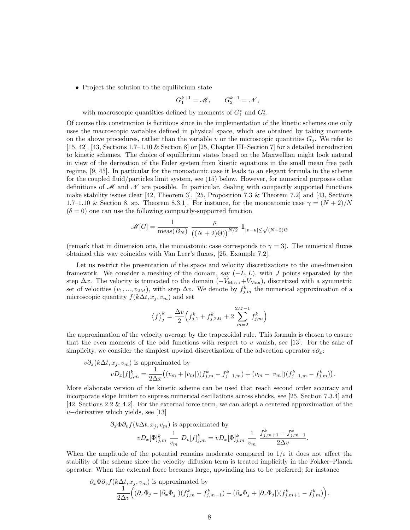• Project the solution to the equilibrium state

$$
G_1^{k+1} = \mathcal{M}, \qquad G_2^{k+1} = \mathcal{N},
$$

with macroscopic quantities defined by moments of  $G_1^*$  and  $G_2^*$ .

Of course this construction is fictitious since in the implementation of the kinetic schemes one only uses the macroscopic variables defined in physical space, which are obtained by taking moments on the above procedures, rather than the variable v or the microscopic quantities  $G_i$ . We refer to [15, 42], [43, Sections 1.7–1.10 & Section 8] or [25, Chapter III–Section 7] for a detailed introduction to kinetic schemes. The choice of equilibrium states based on the Maxwellian might look natural in view of the derivation of the Euler system from kinetic equations in the small mean free path regime, [9, 45]. In particular for the monoatomic case it leads to an elegant formula in the scheme for the coupled fluid/particles limit system, see (15) below. However, for numerical purposes other definitions of  $\mathcal M$  and  $\mathcal N$  are possible. In particular, dealing with compactly supported functions make stability issues clear [42, Theorem 3], [25, Proposition 7.3 & Theorem 7.2] and [43, Sections 1.7–1.10 & Section 8, sp. Theorem 8.3.1. For instance, for the monoatomic case  $\gamma = (N+2)/N$  $(\delta = 0)$  one can use the following compactly-supported function

$$
\mathcal{M}[G] = \frac{1}{\text{meas}(B_N)} \frac{\rho}{\left(\left(N+2\right)\Theta\right)^{N/2}} \mathbf{1}_{|v-u| \le \sqrt{(N+2)\Theta}}
$$

(remark that in dimension one, the monoatomic case corresponds to  $\gamma = 3$ ). The numerical fluxes obtained this way coincides with Van Leer's fluxes, [25, Example 7.2].

Let us restrict the presentation of the space and velocity discretizations to the one-dimension framework. We consider a meshing of the domain, say  $(-L, L)$ , with J points separated by the step  $\Delta x$ . The velocity is truncated to the domain  $(-V_{\text{Max}} + V_{\text{Max}})$ , discretized with a symmetric set of velocities  $(v_1, ..., v_{2M})$ , with step  $\Delta v$ . We denote by  $f_{j,m}^k$  the numerical approximation of a microscopic quantity  $f(k\Delta t, x_j, v_m)$  and set

$$
\left\langle f\right\rangle _{j}^{k}=\frac{\Delta v}{2}\Big(f_{j,1}^{k}+f_{j,2M}^{k}+2\sum_{m=2}^{2M-1}f_{j,m}^{k}\Big)
$$

the approximation of the velocity average by the trapezoidal rule. This formula is chosen to ensure that the even moments of the odd functions with respect to  $v$  vanish, see [13]. For the sake of simplicity, we consider the simplest upwind discretization of the advection operator  $v\partial_x$ :

$$
v\partial_x(k\Delta t, x_j, v_m)
$$
 is approximated by  
\n
$$
vD_x[f]_{j,m}^k = \frac{1}{2\Delta x} \big( (v_m + |v_m|)(f_{j,m}^k - f_{j-1,m}^k) + (v_m - |v_m|)(f_{j+1,m}^k - f_{j,m}^k) \big).
$$

More elaborate version of the kinetic scheme can be used that reach second order accuracy and incorporate slope limiter to supress numerical oscillations across shocks, see [25, Section 7.3.4] and [42, Sections 2.2 & 4.2]. For the external force term, we can adopt a centered approximation of the v−derivative which yields, see [13]

$$
\partial_x \Phi \partial_v f(k\Delta t, x_j, v_m)
$$
 is approximated by  
\n
$$
vD_x[\Phi]_{j,m}^k \frac{1}{v_m} D_v[f]_{j,m}^k = vD_x[\Phi]_{j,m}^k \frac{1}{v_m} \frac{f_{j,m+1}^k - f_{j,m-1}^k}{2\Delta v}.
$$

When the amplitude of the potential remains moderate compared to  $1/\varepsilon$  it does not affect the stability of the scheme since the velocity diffusion term is treated implicitly in the Fokker–Planck operator. When the external force becomes large, upwinding has to be preferred; for instance

$$
\partial_x \Phi \partial_v f(k\Delta t, x_j, v_m) \text{ is approximated by}
$$
  

$$
\frac{1}{2\Delta v} \Big( (\partial_x \Phi_j - |\partial_x \Phi_j|)(f_{j,m}^k - f_{j,m-1}^k) + (\partial_x \Phi_j + |\partial_x \Phi_j|)(f_{j,m+1}^k - f_{j,m}^k) \Big).
$$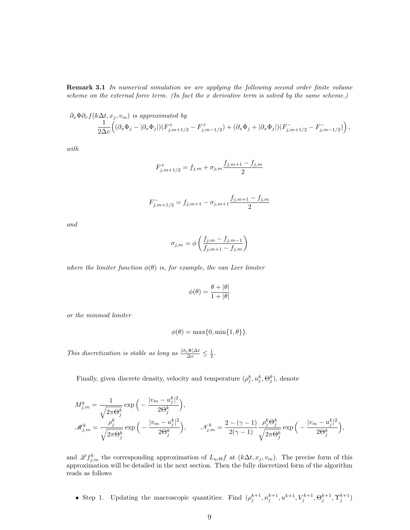**Remark 3.1** In numerical simulation we are applying the following second order finite volume scheme on the external force term. (In fact the x derivative term is solved by the same scheme.)

$$
\partial_x \Phi \partial_v f(k \Delta t, x_j, v_m) \text{ is approximated by}
$$
  
\n
$$
\frac{1}{2\Delta v} \Big( (\partial_x \Phi_j - |\partial_x \Phi_j|)(F^+_{j,m+1/2} - F^+_{j,m-1/2}) + (\partial_x \Phi_j + |\partial_x \Phi_j|)(F^-_{j,m+1/2} - F^-_{j,m-1/2}) \Big),
$$

with

$$
F_{j,m+1/2}^+ = f_{j,m} + \sigma_{j,m} \frac{f_{j,m+1} - f_{j,m}}{2}
$$

$$
F_{j,m+1/2}^- = f_{j,m+1} - \sigma_{j,m+1} \frac{f_{j,m+1} - f_{j,m}}{2}
$$

and

$$
\sigma_{j,m} = \phi\left(\frac{f_{j,m} - f_{j,m-1}}{f_{j,m+1} - f_{j,m}}\right)
$$

where the limiter function  $\phi(\theta)$  is, for example, the van Leer limiter

$$
\phi(\theta) = \frac{\theta + |\theta|}{1 + |\theta|}
$$

or the minmod limiter

$$
\phi(\theta) = \max\{0, \min\{1, \theta\}\}.
$$

This discretization is stable as long as  $\frac{|\partial_x \Phi| \Delta t}{\Delta v} \leq \frac{1}{2}$ .

Finally, given discrete density, velocity and temperature  $(\rho_j^k, u_j^k, \Theta_j^k)$ , denote

$$
\begin{split} M_{j,m}^k &= \frac{1}{\sqrt{2\pi\Theta_j^k}}\exp\Big(-\frac{|v_m - u_j^k|^2}{2\Theta_j^k}\Big),\\ \mathscr{M}_{j,m}^k &= \frac{\rho_j^k}{\sqrt{2\pi\Theta_j^k}}\exp\Big(-\frac{|v_m - u_j^k|^2}{2\Theta_j^k}\Big),\qquad \mathscr{N}_{j,m}^k = \frac{2-(\gamma-1)}{2(\gamma-1)}\frac{\rho_j^k\Theta_j^k}{\sqrt{2\pi\Theta_j^k}}\exp\Big(-\frac{|v_m - u_j^k|^2}{2\Theta_j^k}\Big), \end{split}
$$

and  $\mathscr{L} f_{j,m}^k$  the corresponding approximation of  $L_{u,\Theta} f$  at  $(k\Delta t, x_j, v_m)$ . The precise form of this approximation will be detailed in the next section. Then the fully discretized form of the algorithm reads as follows

• Step 1. Updating the macroscopic quantities: Find  $(\rho_j^{k+1}, n_j^{k+1}, u^{k+1}, V_j^{k+1}, \Theta_j^{k+1}, \Upsilon_j^{k+1})$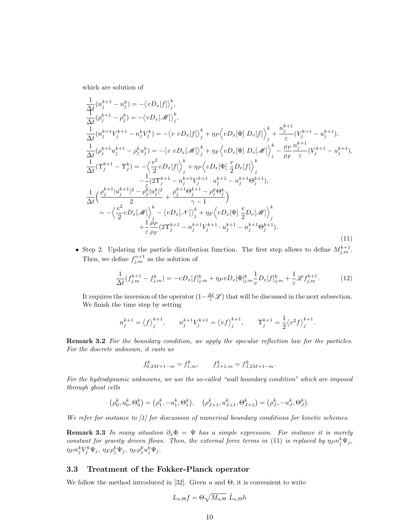which are solution of

$$
\frac{1}{\Delta t}(n_j^{k+1} - n_j^k) = -\langle vD_x[f] \rangle_j^k,\n\frac{1}{\Delta t}(\rho_j^{k+1} - \rho_j^k) = -\langle vD_x[\mathcal{M}] \rangle_j^k,\n\frac{1}{\Delta t}(n_j^{k+1}V_j^{k+1} - n_j^kV_j^k) = -\langle v vD_x[f] \rangle_j^k + \eta_P \langle vD_x[\Phi] D_v[f] \rangle_j^k + \frac{n_j^{k+1}}{\varepsilon} (V_j^{k+1} - u_j^{k+1}),\n\frac{1}{\Delta t}(\rho_j^{k+1}u_j^{k+1} - \rho_j^ku_j^k) = -\langle v vD_x[\mathcal{M}] \rangle_j^k + \eta_F \langle vD_x[\Phi] D_v[\mathcal{M}] \rangle_j^k - \frac{\rho_P}{\rho_F} \frac{n_j^{k+1}}{\varepsilon} (V_j^{k+1} - u_j^{k+1}),\n\frac{1}{\Delta t}(T_j^{k+1} - T_j^k) = -\langle \frac{v^2}{2} vD_x[f] \rangle_j^k + \eta_P \langle vD_x[\Phi] \frac{v}{2} D_v[f] \rangle_j^k\n- \frac{1}{2} (2T_j^{k+1} - n_j^{k+1}V_j^{k+1} \cdot u_j^{k+1} - n_j^{k+1} \Theta_j^{k+1}),\n\frac{1}{\Delta t} (\frac{\rho_j^{k+1}|u_j^{k+1}|^2 - \rho_j^k|u_j^k|^2}{2} + \frac{\rho_j^{k+1} \Theta_j^{k+1} - \rho_j^k \Theta_j^k}{\gamma - 1})\n= -\langle \frac{v^2}{2} vD_x[\mathcal{M}] \rangle_j^k - \langle vD_x[\mathcal{M}] \rangle_j^k + \eta_F \langle vD_x[\Phi] \frac{v}{2} D_v[\mathcal{M}] \rangle_j^k\n+ \frac{1}{\varepsilon} \frac{\rho_P}{\rho_F}(2T_j^{k+1} - n_j^{k+1}V_j^{k+1} \cdot u_j^{k+1} - n_j^{k+1} \Theta_j^{k+1}). \tag{11}
$$

• Step 2. Updating the particle distribution function. The first step allows to define  $M_{j,m}^{k+1}$ . Then, we define  $f_{j,m}^{n+1}$  as the solution of

$$
\frac{1}{\Delta t}(f_{j,m}^{k+1} - f_{j,m}^k) = -vD_x[f]_{j,m}^k + \eta_P vD_x[\Phi]_{j,m}^k \frac{1}{v}D_v[f]_{j,m}^k + \frac{1}{\varepsilon} \mathcal{L} f_{j,m}^{k+1}.
$$
 (12)

It requires the inversion of the operator  $(1 - \frac{\Delta t}{\varepsilon} \mathscr{L})$  that will be discussed in the next subsection. We finish the time step by setting

$$
n_j^{k+1}=\left\langle f\right\rangle_j^{k+1},\qquad n_j^{k+1}V_j^{k+1}=\left\langle vf\right\rangle_j^{k+1},\qquad \Upsilon_j^{k+1}=\frac{1}{2}\left\langle v^2f\right\rangle_j^{k+1}.
$$

**Remark 3.2** For the boundary condition, we apply the specular reflection law for the particles. For the discrete unknown, it casts as

$$
f_{0,2M+1-m}^k = f_{1,m}^k, \qquad f_{J+1,m}^k = f_{J,2M+1-m}^k.
$$

For the hydrodynamic unknowns, we use the so-called "wall boundary condition" which are imposed through ghost cells

$$
(\rho_0^k, u_0^k, \Theta_0^k) = (\rho_1^k, -u_1^k, \Theta_1^k), \quad (\rho_{J+1}^k, u_{J+1}^k, \Theta_{J+1}^k) = (\rho_J^k, -u_J^k, \Theta_J^k).
$$

We refer for instance to [1] for discussion of numerical boundary conditions for kinetic schemes.

**Remark 3.3** In many situation  $\partial_x \Phi = \Psi$  has a simple expression. For instance it is merely constant for gravity-driven flows. Then, the external force terms in (11) is replaced by  $\eta_{P} n_j^k \Psi_j$ ,  $\eta_P n_j^k V_j^k \Psi_j, \, \eta_F \rho_j^k \Psi_j, \, \eta_F \rho_j^k u_j^k \Psi_j.$ 

#### 3.3 Treatment of the Fokker-Planck operator

We follow the method introduced in [32]. Given u and  $\Theta$ , it is convenient to write

$$
L_{u,\Theta}f = \Theta \sqrt{M_{u,\Theta}} \tilde{L}_{u,\Theta}h
$$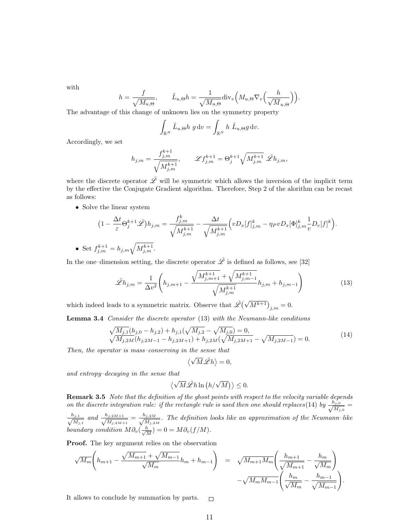with

$$
h = \frac{f}{\sqrt{M_{u,\Theta}}}, \qquad \tilde{L}_{u,\Theta}h = \frac{1}{\sqrt{M_{u,\Theta}}} \text{div}_v \Big(M_{u,\Theta} \nabla_v \Big(\frac{h}{\sqrt{M}_{u,\Theta}}\Big)\Big).
$$

The advantage of this change of unknown lies on the symmetry property

$$
\int_{\mathbb{R}^N} \tilde{L}_{u,\Theta} h g dv = \int_{\mathbb{R}^N} h \, \tilde{L}_{u,\Theta} g dv.
$$

Accordingly, we set

$$
h_{j,m} = \frac{f_{j,m}^{k+1}}{\sqrt{M_{j,m}^{k+1}}}, \qquad \mathscr{L} f_{j,m}^{k+1} = \Theta_j^{k+1} \sqrt{M_{j,m}^{k+1}} \tilde{\mathscr{L}} h_{j,m},
$$

where the discrete operator  $\tilde{\mathscr{L}}$  will be symmetric which allows the inversion of the implicit term by the effective the Conjugate Gradient algorithm. Therefore, Step 2 of the alorithm can be recast as follows:

• Solve the linear system

$$
(1 - \frac{\Delta t}{\varepsilon} \Theta_j^{k+1} \tilde{\mathscr{L}}) h_{j,m} = \frac{f_{j,m}^k}{\sqrt{M_{j,m}^{k+1}}} - \frac{\Delta t}{\sqrt{M_{j,m}^{k+1}}} \left( v D_x[f]_{j,m}^k - \eta_P v D_x[\Phi]_{j,m}^k \frac{1}{v} D_v[f]^k \right).
$$
  
• Set  $f_{j,m}^{k+1} = h_{j,m} \sqrt{M_{j,m}^{k+1}}$ .

In the one–dimension setting, the discrete operator  $\tilde{\mathscr{L}}$  is defined as follows, see [32]

$$
\tilde{\mathcal{L}}h_{j,m} = \frac{1}{\Delta v^2} \left( h_{j,m+1} - \frac{\sqrt{M_{j,m+1}^{k+1}} + \sqrt{M_{j,m-1}^{k+1}}}{\sqrt{M_{j,m}^{k+1}}} h_{j,m} + h_{j,m-1} \right)
$$
(13)

which indeed leads to a symmetric matrix. Observe that  $\tilde{\mathscr{L}}(\sqrt{M^{k+1}})_{j,m} = 0$ .

Lemma 3.4 Consider the discrete operator (13) with the Neumann-like conditions

$$
\sqrt{\frac{M_{j,1}}{M_{j,2M}}}(h_{j,0} - h_{j,2}) + h_{j,1}(\sqrt{M_{j,2}} - \sqrt{M_{j,0}}) = 0,\sqrt{\frac{M_{j,2M}}{M_{j,2M-1}} - h_{j,2M+1}} + h_{j,2M}(\sqrt{\frac{M_{j,2M+1}}{M_{j,2M-1}}}) = 0.
$$
\n(14)

Then, the operator is mass–conserving in the sense that

$$
\langle \sqrt{M}\tilde{\mathscr{L}}h \rangle = 0,
$$

and entropy–decaying in the sense that

$$
\langle \sqrt{M}\tilde{\mathscr{L}}h\ln(h/\sqrt{M})\rangle \leq 0.
$$

Remark 3.5 Note that the definition of the ghost points with respect to the velocity variable depends on the discrete integration rule: if the rectangle rule is used then one should replaces (14) by  $\frac{h_{j,0}}{\sqrt{M}}$  $\frac{u_{j,0}}{\overline{M_{j,0}}}=$  $\frac{h_{j,1}}{ }$  $\frac{h_{j,1}}{M_{j,1}}$  and  $\frac{h_{j,2M+1}}{\sqrt{M_{j,2M+1}}}$  $\frac{h_{j,2M+1}}{M_{j,2M+1}} = \frac{h_{j,2M}}{\sqrt{M_{j,2M}}}$  $\frac{M_{j,2M}}{M_{j,2M}}$ . The definition looks like an approximation of the Neumann-like boundary condition  $M\partial_v(\frac{h}{\sqrt{\Lambda}})$  $\frac{h}{\overline{M}}$ ) = 0 =  $M \partial_v (f/M)$ .

Proof. The key argument relies on the observation

$$
\sqrt{M_m} \left( h_{m+1} - \frac{\sqrt{M_{m+1}} + \sqrt{M_{m-1}}}{\sqrt{M_m}} h_m + h_{m-1} \right) = \sqrt{M_{m+1} M_m} \left( \frac{h_{m+1}}{\sqrt{M_{m+1}}} - \frac{h_m}{\sqrt{M_m}} \right) - \sqrt{M_m M_{m-1}} \left( \frac{h_m}{\sqrt{M_m}} - \frac{h_{m-1}}{\sqrt{M_{m-1}}} \right).
$$

It allows to conclude by summation by parts.  $\Box$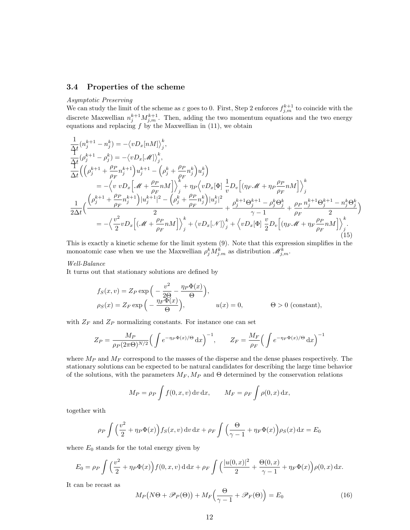#### 3.4 Properties of the scheme

### Asymptotic Preserving

We can study the limit of the scheme as  $\varepsilon$  goes to 0. First, Step 2 enforces  $f_{j,m}^{k+1}$  to coincide with the discrete Maxwellian  $n_j^{k+1} M_{j,m}^{k+1}$ . Then, adding the two momentum equations and the two energy equations and replacing  $f$  by the Maxwellian in  $(11)$ , we obtain

$$
\frac{1}{\Delta t} (n_j^{k+1} - n_j^k) = -\langle vD_x[nM] \rangle_j^k,\n\frac{1}{\Delta t} (\rho_j^{k+1} - \rho_j^k) = -\langle vD_x[\mathcal{M}] \rangle_j^k,\n\frac{1}{\Delta t} ((\rho_j^{k+1} + \frac{\rho_P}{\rho_F} n_j^{k+1}) u_j^{k+1} - (\rho_j^k + \frac{\rho_P}{\rho_F} n_j^k) u_j^k)\n= -\langle v \ vD_x[\mathcal{M} + \frac{\rho_P}{\rho_F} n M] \rangle_j^k + \eta_P \langle vD_x[\Phi] \frac{1}{v} D_v[(\eta_F \mathcal{M} + \eta_P \frac{\rho_P}{\rho_F} n M] \rangle_j^k\n\frac{1}{2\Delta t} ((\frac{(\rho_j^{k+1} + \frac{\rho_P}{\rho_F} n_j^{k+1}) |u_j^{k+1}|^2 - (\rho_j^k + \frac{\rho_P}{\rho_F} n_j^k) |u_j^{k}|^2}{2} + \frac{\rho_j^{k+1} \Theta_j^{k+1} - \rho_j^k \Theta_j^k}{\gamma - 1} + \frac{\rho_P}{\rho_F} \frac{n_j^{k+1} \Theta_j^{k+1} - n_j^k \Theta_j^k}{2})\n= -\langle \frac{v^2}{2} vD_x[(\mathcal{M} + \frac{\rho_P}{\rho_F} n M] \rangle_j^k + \langle vD_x[\mathcal{M}] \rangle_j^k + \langle vD_x[\Phi] \frac{v}{2} D_v[(\eta_F \mathcal{M} + \eta_F \frac{\rho_P}{\rho_F} n M] \rangle_j^k.
$$
\n(15)

This is exactly a kinetic scheme for the limit system (9). Note that this expression simplifies in the monoatomic case when we use the Maxwellian  $\rho_j^k M_{j,m}^k$  as distribution  $\mathscr{M}_{j,m}^k$ .

#### Well-Balance

It turns out that stationary solutions are defined by

$$
f_S(x, v) = Z_P \exp\left(-\frac{v^2}{2\Theta} - \frac{\eta_P \Phi(x)}{\Theta}\right),
$$
  
\n
$$
\rho_S(x) = Z_F \exp\left(-\frac{\eta_F \Phi(x)}{\Theta}\right), \qquad u(x) = 0, \qquad \Theta > 0 \text{ (constant)},
$$

with  $Z_F$  and  $Z_P$  normalizing constants. For instance one can set

$$
Z_P = \frac{M_P}{\rho_P (2\pi \Theta)^{N/2}} \Big( \int e^{-\eta_P \Phi(x)/\Theta} dx \Big)^{-1}, \qquad Z_F = \frac{M_F}{\rho_F} \Big( \int e^{-\eta_F \Phi(x)/\Theta} dx \Big)^{-1}
$$

where  $M_P$  and  $M_F$  correspond to the masses of the disperse and the dense phases respectively. The stationary solutions can be expected to be natural candidates for describing the large time behavior of the solutions, with the parameters  $M_F$ ,  $M_P$  and  $\Theta$  determined by the conservation relations

$$
M_P = \rho_P \int f(0, x, v) dv dx, \qquad M_F = \rho_F \int \rho(0, x) dx,
$$

together with

$$
\rho_P \int \left(\frac{v^2}{2} + \eta_P \Phi(x)\right) f_S(x, v) \, dv \, dx + \rho_F \int \left(\frac{\Theta}{\gamma - 1} + \eta_F \Phi(x)\right) \rho_S(x) \, dx = E_0
$$

where  $E_0$  stands for the total energy given by

$$
E_0 = \rho_P \int \left(\frac{v^2}{2} + \eta_P \Phi(x)\right) f(0, x, v) \, \mathrm{d} \, \mathrm{d}x + \rho_F \int \left(\frac{|u(0, x)|^2}{2} + \frac{\Theta(0, x)}{\gamma - 1} + \eta_F \Phi(x)\right) \rho(0, x) \, \mathrm{d}x.
$$

It can be recast as

$$
M_P(N\Theta + \mathscr{P}_P(\Theta)) + M_F\left(\frac{\Theta}{\gamma - 1} + \mathscr{P}_F(\Theta)\right) = E_0
$$
\n(16)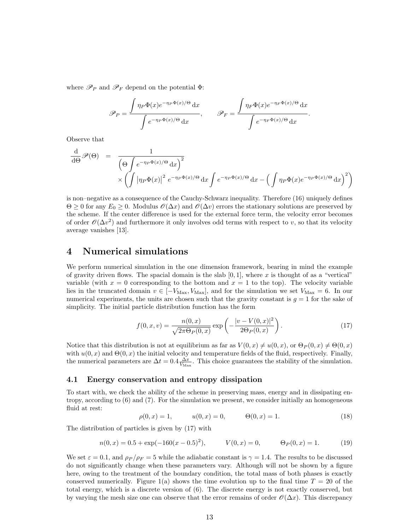where  $\mathscr{P}_P$  and  $\mathscr{P}_F$  depend on the potential  $\Phi$ :

$$
\mathscr{P}_P = \frac{\int \eta_P \Phi(x) e^{-\eta_P \Phi(x)/\Theta} dx}{\int e^{-\eta_P \Phi(x)/\Theta} dx}, \qquad \mathscr{P}_F = \frac{\int \eta_F \Phi(x) e^{-\eta_F \Phi(x)/\Theta} dx}{\int e^{-\eta_F \Phi(x)/\Theta} dx}.
$$

Observe that

$$
\frac{\mathrm{d}}{\mathrm{d}\Theta} \mathscr{P}(\Theta) = \frac{1}{\left(\Theta \int e^{-\eta_P \Phi(x)/\Theta} \mathrm{d}x\right)^2} \times \left(\int \left|\eta_P \Phi(x)\right|^2 e^{-\eta_P \Phi(x)/\Theta} \mathrm{d}x \int e^{-\eta_P \Phi(x)/\Theta} \mathrm{d}x - \left(\int \eta_P \Phi(x) e^{-\eta_P \Phi(x)/\Theta} \mathrm{d}x\right)^2\right)
$$

is non–negative as a consequence of the Cauchy-Schwarz inequality. Therefore (16) uniquely defines  $\Theta \geq 0$  for any  $E_0 \geq 0$ . Modulus  $\mathscr{O}(\Delta x)$  and  $\mathscr{O}(\Delta v)$  errors the stationary solutions are preserved by the scheme. If the center difference is used for the external force term, the velocity error becomes of order  $\mathcal{O}(\Delta v^2)$  and furthermore it only involves odd terms with respect to v, so that its velocity average vanishes [13].

## 4 Numerical simulations

We perform numerical simulation in the one dimension framework, bearing in mind the example of gravity driven flows. The spacial domain is the slab  $[0, 1]$ , where x is thought of as a "vertical" variable (with  $x = 0$  corresponding to the bottom and  $x = 1$  to the top). The velocity variable lies in the truncated domain  $v \in [-V_{\text{Max}}, V_{\text{Max}}]$ , and for the simulation we set  $V_{\text{Max}} = 6$ . In our numerical experiments, the units are chosen such that the gravity constant is  $g = 1$  for the sake of simplicity. The initial particle distribution function has the form

$$
f(0, x, v) = \frac{n(0, x)}{\sqrt{2\pi\Theta_P(0, x)}} \exp\left(-\frac{|v - V(0, x)|^2}{2\Theta_P(0, x)}\right).
$$
 (17)

Notice that this distribution is not at equilibrium as far as  $V(0, x) \neq u(0, x)$ , or  $\Theta_P(0, x) \neq \Theta(0, x)$ with  $u(0, x)$  and  $\Theta(0, x)$  the initial velocity and temperature fields of the fluid, respectively. Finally, the numerical parameters are  $\Delta t = 0.4 \frac{\Delta x}{V_{\text{Max}}}$ . This choice guarantees the stability of the simulation.

### 4.1 Energy conservation and entropy dissipation

To start with, we check the ability of the scheme in preserving mass, energy and in dissipating entropy, according to (6) and (7). For the simulation we present, we consider initially an homogeneous fluid at rest:

$$
\rho(0, x) = 1, \qquad u(0, x) = 0, \qquad \Theta(0, x) = 1. \tag{18}
$$

The distribution of particles is given by (17) with

$$
n(0, x) = 0.5 + \exp(-160(x - 0.5)^{2}), \qquad V(0, x) = 0, \qquad \Theta_{P}(0, x) = 1.
$$
 (19)

We set  $\varepsilon = 0.1$ , and  $\rho_P / \rho_F = 5$  while the adiabatic constant is  $\gamma = 1.4$ . The results to be discussed do not significantly change when these parameters vary. Although will not be shown by a figure here, owing to the treatment of the boundary condition, the total mass of both phases is exactly conserved numerically. Figure 1(a) shows the time evolution up to the final time  $T = 20$  of the total energy, which is a discrete version of (6). The discrete energy is not exactly conserved, but by varying the mesh size one can observe that the error remains of order  $\mathcal{O}(\Delta x)$ . This discrepancy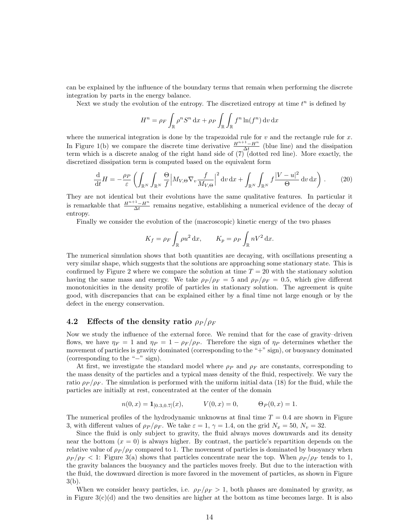can be explained by the influence of the boundary terms that remain when performing the discrete integration by parts in the energy balance.

Next we study the evolution of the entropy. The discretized entropy at time  $t^n$  is defined by

$$
H^{n} = \rho_{F} \int_{\mathbb{R}} \rho^{n} S^{n} dx + \rho_{P} \int_{\mathbb{R}} \int_{\mathbb{R}} f^{n} \ln(f^{n}) dv dx
$$

where the numerical integration is done by the trapezoidal rule for  $v$  and the rectangle rule for  $x$ . In Figure 1(b) we compare the discrete time derivative  $\frac{H^{n+1}-H^n}{\Delta t}$  (blue line) and the dissipation term which is a discrete analog of the right hand side of  $(7)$  (dotted red line). More exactly, the discretized dissipation term is computed based on the equivalent form

$$
\frac{\mathrm{d}}{\mathrm{d}t}H = -\frac{\rho_P}{\varepsilon} \left( \int_{\mathbb{R}^N} \int_{\mathbb{R}^N} \frac{\Theta}{f} \left| M_{V,\Theta} \nabla_v \frac{f}{M_{V,\Theta}} \right|^2 \mathrm{d}v \, \mathrm{d}x + \int_{\mathbb{R}^N} \int_{\mathbb{R}^N} f \frac{|V - u|^2}{\Theta} \mathrm{d}v \, \mathrm{d}x \right). \tag{20}
$$

They are not identical but their evolutions have the same qualitative features. In particular it is remarkable that  $\frac{H^{n+1}-H^n}{\Delta t}$  remains negative, establishing a numerical evidence of the decay of entropy.

Finally we consider the evolution of the (macroscopic) kinetic energy of the two phases

$$
K_f = \rho_F \int_{\mathbb{R}} \rho u^2 \, \mathrm{d}x, \qquad K_p = \rho_P \int_{\mathbb{R}} nV^2 \, \mathrm{d}x.
$$

The numerical simulation shows that both quantities are decaying, with oscillations presenting a very similar shape, which suggests that the solutions are approaching some stationary state. This is confirmed by Figure 2 where we compare the solution at time  $T = 20$  with the stationary solution having the same mass and energy. We take  $\rho_P / \rho_F = 5$  and  $\rho_P / \rho_F = 0.5$ , which give different monotonicities in the density profile of particles in stationary solution. The agreement is quite good, with discrepancies that can be explained either by a final time not large enough or by the defect in the energy conservation.

## 4.2 Effects of the density ratio  $\rho_P / \rho_F$

Now we study the influence of the external force. We remind that for the case of gravity–driven flows, we have  $\eta_F = 1$  and  $\eta_P = 1 - \rho_F/\rho_P$ . Therefore the sign of  $\eta_P$  determines whether the movement of particles is gravity dominated (corresponding to the "+" sign), or buoyancy dominated (corresponding to the "−" sign).

At first, we investigate the standard model where  $\rho_P$  and  $\rho_F$  are constants, corresponding to the mass density of the particles and a typical mass density of the fluid, respectively. We vary the ratio  $\rho_P/\rho_F$ . The simulation is performed with the uniform initial data (18) for the fluid, while the particles are initially at rest, concentrated at the center of the domain

$$
n(0, x) = \mathbf{1}_{[0.3, 0.7]}(x), \qquad V(0, x) = 0, \qquad \Theta_P(0, x) = 1.
$$

The numerical profiles of the hydrodynamic unknowns at final time  $T = 0.4$  are shown in Figure 3, with different values of  $\rho_P / \rho_F$ . We take  $\varepsilon = 1, \gamma = 1.4$ , on the grid  $N_x = 50, N_v = 32$ .

Since the fluid is only subject to gravity, the fluid always moves downwards and its density near the bottom  $(x = 0)$  is always higher. By contrast, the particle's repartition depends on the relative value of  $\rho_P / \rho_F$  compared to 1. The movement of particles is dominated by buoyancy when  $\rho_P / \rho_F < 1$ : Figure 3(a) shows that particles concentrate near the top. When  $\rho_P / \rho_F$  tends to 1, the gravity balances the buoyancy and the particles moves freely. But due to the interaction with the fluid, the downward direction is more favored in the movement of particles, as shown in Figure 3(b).

When we consider heavy particles, i.e.  $\rho_P / \rho_F > 1$ , both phases are dominated by gravity, as in Figure  $3(c)(d)$  and the two densities are higher at the bottom as time becomes large. It is also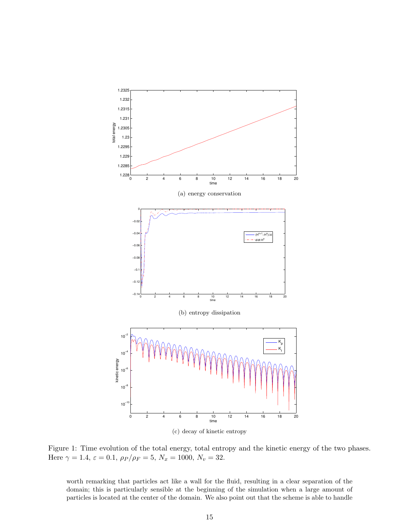

Figure 1: Time evolution of the total energy, total entropy and the kinetic energy of the two phases. Here  $\gamma = 1.4$ ,  $\varepsilon = 0.1$ ,  $\rho_P / \rho_F = 5$ ,  $N_x = 1000$ ,  $N_v = 32$ .

worth remarking that particles act like a wall for the fluid, resulting in a clear separation of the domain; this is particularly sensible at the beginning of the simulation when a large amount of particles is located at the center of the domain. We also point out that the scheme is able to handle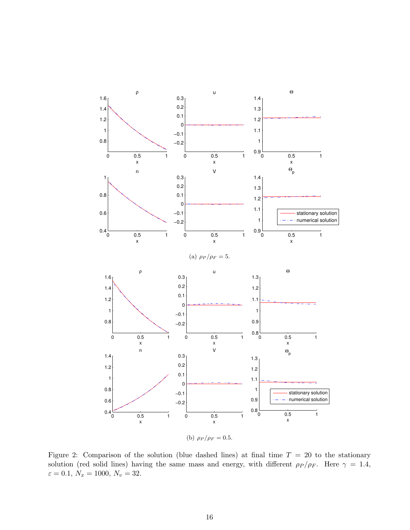

Figure 2: Comparison of the solution (blue dashed lines) at final time  $T = 20$  to the stationary solution (red solid lines) having the same mass and energy, with different  $\rho_P / \rho_F$ . Here  $\gamma = 1.4$ ,  $\varepsilon=0.1,\,N_x=1000,\,N_v=32.$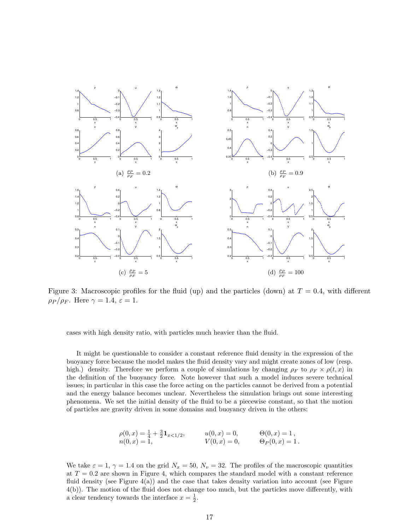

Figure 3: Macroscopic profiles for the fluid (up) and the particles (down) at  $T = 0.4$ , with different  $\rho_P/\rho_F$ . Here  $\gamma = 1.4, \varepsilon = 1.$ 

cases with high density ratio, with particles much heavier than the fluid.

It might be questionable to consider a constant reference fluid density in the expression of the buoyancy force because the model makes the fluid density vary and might create zones of low (resp. high.) density. Therefore we perform a couple of simulations by changing  $\rho_F$  to  $\rho_F \times \rho(t, x)$  in the definition of the buoyancy force. Note however that such a model induces severe technical issues; in particular in this case the force acting on the particles cannot be derived from a potential and the energy balance becomes unclear. Nevertheless the simulation brings out some interesting phenomena. We set the initial density of the fluid to be a piecewise constant, so that the motion of particles are gravity driven in some domains and buoyancy driven in the others:

$$
\rho(0, x) = \frac{1}{4} + \frac{3}{2} \mathbf{1}_{x < 1/2}, \qquad u(0, x) = 0, \qquad \Theta(0, x) = 1, \nn(0, x) = 1, \qquad V(0, x) = 0, \qquad \Theta_P(0, x) = 1.
$$

We take  $\varepsilon = 1, \gamma = 1.4$  on the grid  $N_x = 50, N_v = 32$ . The profiles of the macroscopic quantities at  $T = 0.2$  are shown in Figure 4, which compares the standard model with a constant reference fluid density (see Figure  $4(a)$ ) and the case that takes density variation into account (see Figure 4(b)). The motion of the fluid does not change too much, but the particles move differently, with a clear tendency towards the interface  $x = \frac{1}{2}$ .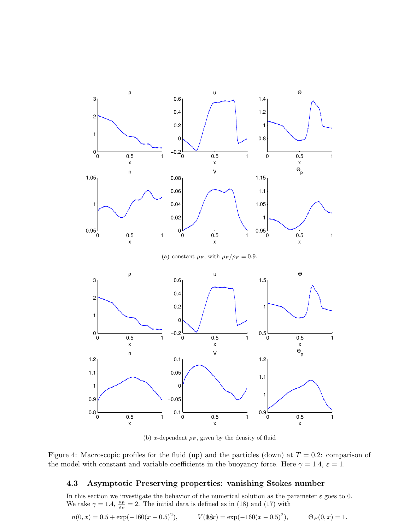

(b) x-dependent  $\rho_F$ , given by the density of fluid

Figure 4: Macroscopic profiles for the fluid (up) and the particles (down) at  $T = 0.2$ : comparison of the model with constant and variable coefficients in the buoyancy force. Here  $\gamma = 1.4$ ,  $\varepsilon = 1$ .

## 4.3 Asymptotic Preserving properties: vanishing Stokes number

In this section we investigate the behavior of the numerical solution as the parameter  $\varepsilon$  goes to 0. We take  $\gamma = 1.4$ ,  $\frac{\rho_P}{\rho_F} = 2$ . The initial data is defined as in (18) and (17) with

$$
n(0, x) = 0.5 + \exp(-160(x - 0.5)^{2}), \qquad V(\mathbf{0}x) = \exp(-160(x - 0.5)^{2}), \qquad \Theta_{P}(0, x) = 1.
$$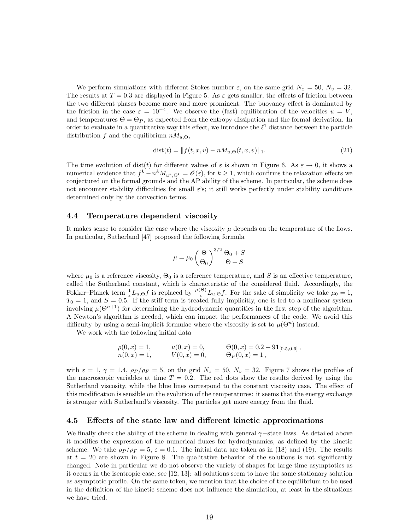We perform simulations with different Stokes number  $\varepsilon$ , on the same grid  $N_x = 50$ ,  $N_v = 32$ . The results at  $T = 0.3$  are displayed in Figure 5. As  $\varepsilon$  gets smaller, the effects of friction between the two different phases become more and more prominent. The buoyancy effect is dominated by the friction in the case  $\varepsilon = 10^{-4}$ . We observe the (fast) equilibration of the velocities  $u = V$ , and temperatures  $\Theta = \Theta_P$ , as expected from the entropy dissipation and the formal derivation. In order to evaluate in a quantitative way this effect, we introduce the  $\ell^1$  distance between the particle distribution f and the equilibrium  $nM_{u,\Theta}$ ,

$$
dist(t) = ||f(t, x, v) - nM_{u, \Theta}(t, x, v)||_1.
$$
\n(21)

The time evolution of dist(t) for different values of  $\varepsilon$  is shown in Figure 6. As  $\varepsilon \to 0$ , it shows a numerical evidence that  $f^k - n^k M_{u^k, \Theta^k} = \mathcal{O}(\varepsilon)$ , for  $k \ge 1$ , which confirms the relaxation effects we conjectured on the formal grounds and the AP ability of the scheme. In particular, the scheme does not encounter stability difficulties for small  $\varepsilon$ 's; it still works perfectly under stability conditions determined only by the convection terms.

### 4.4 Temperature dependent viscosity

It makes sense to consider the case where the viscosity  $\mu$  depends on the temperature of the flows. In particular, Sutherland [47] proposed the following formula

$$
\mu = \mu_0 \left(\frac{\Theta}{\Theta_0}\right)^{3/2} \frac{\Theta_0 + S}{\Theta + S}
$$

where  $\mu_0$  is a reference viscosity,  $\Theta_0$  is a reference temperature, and S is an effective temperature, called the Sutherland constant, which is characteristic of the considered fluid. Accordingly, the Fokker–Planck term  $\frac{1}{\varepsilon}L_{u,\Theta}f$  is replaced by  $\frac{\mu(\Theta)}{\varepsilon}L_{u,\Theta}f$ . For the sake of simplicity we take  $\mu_0=1$ ,  $T_0 = 1$ , and  $S = 0.5$ . If the stiff term is treated fully implicitly, one is led to a nonlinear system involving  $\mu(\Theta^{n+1})$  for determining the hydrodynamic quantities in the first step of the algorithm. A Newton's algorithm is needed, which can impact the performances of the code. We avoid this difficulty by using a semi-implicit formulae where the viscosity is set to  $\mu(\Theta^n)$  instead.

We work with the following initial data

$$
\rho(0, x) = 1,
$$
  $u(0, x) = 0,$   $\Theta(0, x) = 0.2 + 91_{[0.5, 0.6]},$   
\n $n(0, x) = 1,$   $V(0, x) = 0,$   $\Theta_P(0, x) = 1,$ 

with  $\varepsilon = 1$ ,  $\gamma = 1.4$ ,  $\rho_P / \rho_F = 5$ , on the grid  $N_x = 50$ ,  $N_v = 32$ . Figure 7 shows the profiles of the macroscopic variables at time  $T = 0.2$ . The red dots show the results derived by using the Sutherland viscosity, while the blue lines correspond to the constant viscosity case. The effect of this modification is sensible on the evolution of the temperatures: it seems that the energy exchange is stronger with Sutherland's viscosity. The particles get more energy from the fluid.

## 4.5 Effects of the state law and different kinetic approximations

We finally check the ability of the scheme in dealing with general  $\gamma$ −state laws. As detailed above it modifies the expression of the numerical fluxes for hydrodynamics, as defined by the kinetic scheme. We take  $\rho_P/\rho_F = 5$ ,  $\varepsilon = 0.1$ . The initial data are taken as in (18) and (19). The results at  $t = 20$  are shown in Figure 8. The qualitative behavior of the solutions is not significantly changed. Note in particular we do not observe the variety of shapes for large time asymptotics as it occurs in the isentropic case, see [12, 13]: all solutions seem to have the same stationary solution as asymptotic profile. On the same token, we mention that the choice of the equilibrium to be used in the definition of the kinetic scheme does not influence the simulation, at least in the situations we have tried.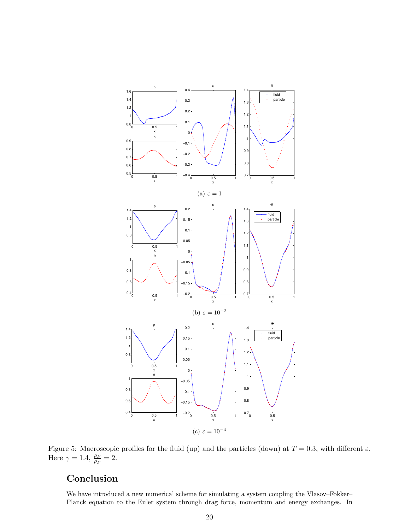

Figure 5: Macroscopic profiles for the fluid (up) and the particles (down) at  $T = 0.3$ , with different  $\varepsilon$ . Here  $\gamma = 1.4$ ,  $\frac{\rho_P}{\rho_F} = 2$ .

# Conclusion

We have introduced a new numerical scheme for simulating a system coupling the Vlasov–Fokker– Planck equation to the Euler system through drag force, momentum and energy exchanges. In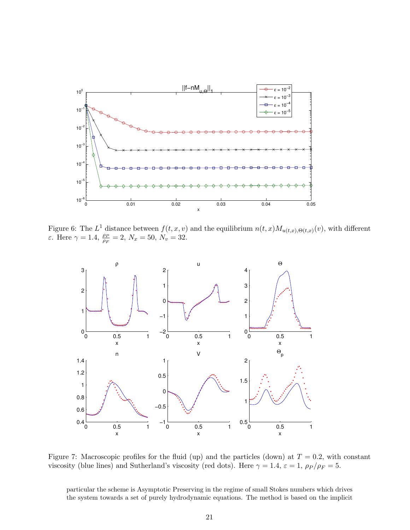

Figure 6: The  $L^1$  distance between  $f(t, x, v)$  and the equilibrium  $n(t, x)M_{u(t, x), \Theta(t, x)}(v)$ , with different  $\varepsilon$ . Here  $\gamma = 1.4$ ,  $\frac{\rho_P}{\rho_F} = 2$ ,  $N_x = 50$ ,  $N_v = 32$ .



Figure 7: Macroscopic profiles for the fluid (up) and the particles (down) at  $T = 0.2$ , with constant viscosity (blue lines) and Sutherland's viscosity (red dots). Here  $\gamma = 1.4$ ,  $\varepsilon = 1$ ,  $\rho_P / \rho_F = 5$ .

particular the scheme is Asymptotic Preserving in the regime of small Stokes numbers which drives the system towards a set of purely hydrodynamic equations. The method is based on the implicit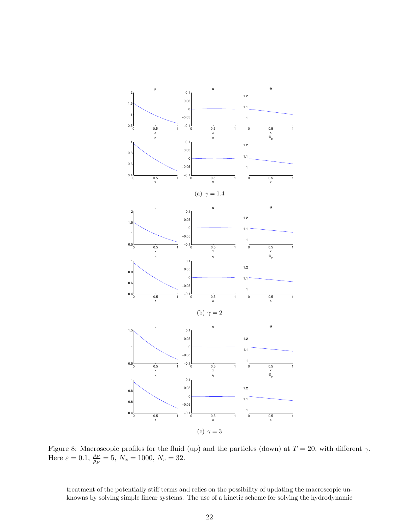

Figure 8: Macroscopic profiles for the fluid (up) and the particles (down) at  $T = 20$ , with different  $\gamma$ . Here  $\varepsilon = 0.1$ ,  $\frac{\rho_P}{\rho_F} = 5$ ,  $N_x = 1000$ ,  $N_v = 32$ .

treatment of the potentially stiff terms and relies on the possibility of updating the macroscopic unknowns by solving simple linear systems. The use of a kinetic scheme for solving the hydrodynamic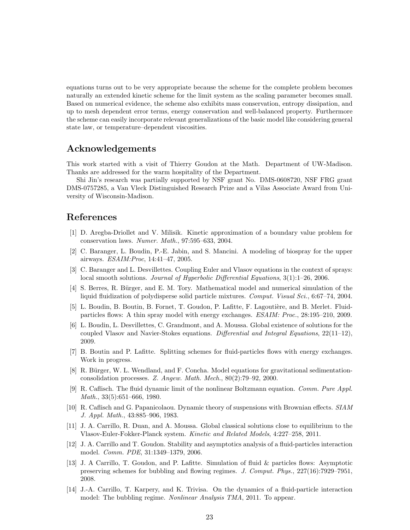equations turns out to be very appropriate because the scheme for the complete problem becomes naturally an extended kinetic scheme for the limit system as the scaling parameter becomes small. Based on numerical evidence, the scheme also exhibits mass conservation, entropy dissipation, and up to mesh dependent error terms, energy conservation and well-balanced property. Furthermore the scheme can easily incorporate relevant generalizations of the basic model like considering general state law, or temperature–dependent viscosities.

## Acknowledgements

This work started with a visit of Thierry Goudon at the Math. Department of UW-Madison. Thanks are addressed for the warm hospitality of the Department.

Shi Jin's research was partially supported by NSF grant No. DMS-0608720, NSF FRG grant DMS-0757285, a Van Vleck Distinguished Research Prize and a Vilas Associate Award from University of Wisconsin-Madison.

## References

- [1] D. Aregba-Driollet and V. Milisik. Kinetic approximation of a boundary value problem for conservation laws. Numer. Math., 97:595–633, 2004.
- [2] C. Baranger, L. Boudin, P.-E. Jabin, and S. Mancini. A modeling of biospray for the upper airways. ESAIM:Proc, 14:41–47, 2005.
- [3] C. Baranger and L. Desvillettes. Coupling Euler and Vlasov equations in the context of sprays: local smooth solutions. *Journal of Hyperbolic Differential Equations*,  $3(1)$ :1–26, 2006.
- [4] S. Berres, R. Bürger, and E. M. Tory. Mathematical model and numerical simulation of the liquid fluidization of polydisperse solid particle mixtures. Comput. Visual Sci., 6:67–74, 2004.
- [5] L. Boudin, B. Boutin, B. Fornet, T. Goudon, P. Lafitte, F. Lagoutière, and B. Merlet. Fluidparticles flows: A thin spray model with energy exchanges. ESAIM: Proc., 28:195–210, 2009.
- [6] L. Boudin, L. Desvillettes, C. Grandmont, and A. Moussa. Global existence of solutions for the coupled Vlasov and Navier-Stokes equations. Differential and Integral Equations, 22(11–12), 2009.
- [7] B. Boutin and P. Lafitte. Splitting schemes for fluid-particles flows with energy exchanges. Work in progress.
- [8] R. Bürger, W. L. Wendland, and F. Concha. Model equations for gravitational sedimentationconsolidation processes. Z. Angew. Math. Mech., 80(2):79–92, 2000.
- [9] R. Caflisch. The fluid dynamic limit of the nonlinear Boltzmann equation. Comm. Pure Appl. Math., 33(5):651–666, 1980.
- [10] R. Caflisch and G. Papanicolaou. Dynamic theory of suspensions with Brownian effects. SIAM J. Appl. Math., 43:885–906, 1983.
- [11] J. A. Carrillo, R. Duan, and A. Moussa. Global classical solutions close to equilibrium to the Vlasov-Euler-Fokker-Planck system. Kinetic and Related Models, 4:227–258, 2011.
- [12] J. A. Carrillo and T. Goudon. Stability and asymptotics analysis of a fluid-particles interaction model. Comm. PDE, 31:1349–1379, 2006.
- [13] J. A Carrillo, T. Goudon, and P. Lafitte. Simulation of fluid & particles flows: Asymptotic preserving schemes for bubbling and flowing regimes. J. Comput. Phys., 227(16):7929–7951, 2008.
- [14] J.-A. Carrillo, T. Karpery, and K. Trivisa. On the dynamics of a fluid-particle interaction model: The bubbling regime. *Nonlinear Analysis TMA*, 2011. To appear.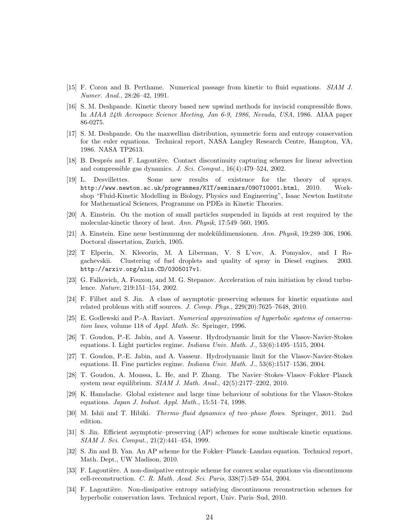- [15] F. Coron and B. Perthame. Numerical passage from kinetic to fluid equations. SIAM J. Numer. Anal., 28:26–42, 1991.
- [16] S. M. Deshpande. Kinetic theory based new upwind methods for inviscid compressible flows. In AIAA 24th Aerospace Science Meeting, Jan 6-9, 1986, Nevada, USA, 1986. AIAA paper 86-0275.
- [17] S. M. Deshpande. On the maxwellian distribution, symmetric form and entropy conservation for the euler equations. Technical report, NASA Langley Research Centre, Hampton, VA, 1986. NASA TP2613.
- [18] B. Després and F. Lagoutière. Contact discontinuity capturing schemes for linear advection and compressible gas dynamics. J. Sci. Comput., 16(4):479–524, 2002.
- [19] L. Desvillettes. Some new results of existence for the theory of sprays. http://www.newton.ac.uk/programmes/KIT/seminars/090710001.html, 2010. Workshop "Fluid-Kinetic Modelling in Biology, Physics and Engineering", Isaac Newton Institute for Mathematical Sciences, Programme on PDEs in Kinetic Theories.
- [20] A. Einstein. On the motion of small particles suspended in liquids at rest required by the molecular-kinetic theory of heat. Ann. Physik, 17:549–560, 1905.
- [21] A. Einstein. Eine neue bestimmung der molek¨uldimensionen. Ann. Physik, 19:289–306, 1906. Doctoral dissertation, Zurich, 1905.
- [22] T Elperin, N. Kleeorin, M. A Liberman, V. S L'vov, A. Pomyalov, and I Rogachevskii. Clustering of fuel droplets and quality of spray in Diesel engines. 2003. http://arxiv.org/nlin.CD/0305017v1.
- [23] G. Falkovich, A. Fouxon, and M. G. Stepanov. Acceleration of rain initiation by cloud turbulence. Nature, 219:151–154, 2002.
- [24] F. Filbet and S. Jin. A class of asymptotic–preserving schemes for kinetic equations and related problems with stiff sources. J. Comp. Phys.,  $229(20)$ :7625–7648, 2010.
- [25] E. Godlewski and P.-A. Raviart. Numerical approximation of hyperbolic systems of conservation laws, volume 118 of Appl. Math. Sc. Springer, 1996.
- [26] T. Goudon, P.-E. Jabin, and A. Vasseur. Hydrodynamic limit for the Vlasov-Navier-Stokes equations. I. Light particles regime. Indiana Univ. Math. J., 53(6):1495–1515, 2004.
- [27] T. Goudon, P.-E. Jabin, and A. Vasseur. Hydrodynamic limit for the Vlasov-Navier-Stokes equations. II. Fine particles regime. Indiana Univ. Math. J., 53(6):1517–1536, 2004.
- [28] T. Goudon, A. Moussa, L. He, and P. Zhang. The Navier–Stokes–Vlasov–Fokker–Planck system near equilibrium. SIAM J. Math. Anal., 42(5):2177–2202, 2010.
- [29] K. Hamdache. Global existence and large time behaviour of solutions for the Vlasov-Stokes equations. *Japan J. Indust. Appl. Math.*,  $15:51-74$ , 1998.
- [30] M. Ishii and T. Hibiki. Thermo–fluid dynamics of two–phase flows. Springer, 2011. 2nd edition.
- [31] S. Jin. Efficient asymptotic–preserving (AP) schemes for some multiscale kinetic equations. SIAM J. Sci. Comput., 21(2):441–454, 1999.
- [32] S. Jin and B. Yan. An AP scheme for the Fokker–Planck–Landau equation. Technical report, Math. Dept., UW Madison, 2010.
- [33] F. Lagoutière. A non-dissipative entropic scheme for convex scalar equations via discontinuous cell-reconstruction. C. R. Math. Acad. Sci. Paris, 338(7):549–554, 2004.
- [34] F. Lagoutière. Non-dissipative entropy satisfying discontinuous reconstruction schemes for hyperbolic conservation laws. Technical report, Univ. Paris–Sud, 2010.